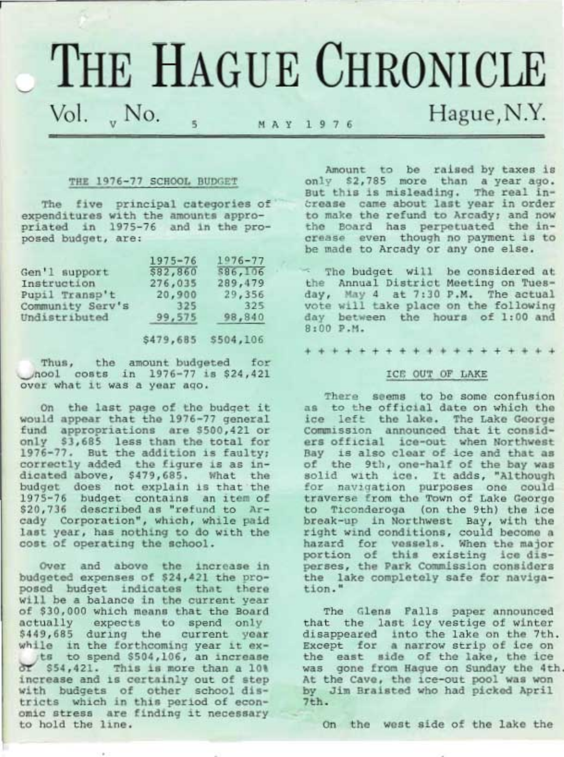# THE HAGUE CHRONICLE Vol., No.  $N_A Y 1976$  Hague, N.Y.

# THE 1976-77 SCHOOL BUDGET

The five principal categories of expenditures with the amounts appro-<br>priated in 1975-76 and in the pro-<br>posed budget, are:

| $1975 - 76$ | $1076 - 77$ |
|-------------|-------------|
| \$82,860    | \$86,106    |
| 276,035     | 289,479     |
|             | 29,356      |
| 325         | 325         |
| 99,575      | 98,840      |
|             | 20,900      |

\$479,685 \$504,106

Thus, the amount budgeted for<br>
nool costs in 1976-77 is \$24,421<br>
over what it was a year ago.

On the last page of the budget it<br>would appear that the 1976-77 general<br>fund appropriations are \$500,421 or<br>only \$3,685 less than the total for<br>1976-77. But the addition is faulty;<br>correctly added the figure is as in-<br>dica

Over and above the increase in<br>budgeted expenses of  $$24,421$  the pro-<br>posed budget indicates that there<br>will be a balance in the current year<br>of  $$30,000$  which means that the Board<br>actually expects to spend only<br> $$449,6$ 

Amount to be raised by taxes is<br>only \$2,785 more than a year ago.<br>But this is misleading. The real in-<br>Srease came about last year in order<br>to make the refund to Arcady; and now<br>the Board has perpetuated the increase even though no payment is to be rnade to Arcady or any one else.

: The budget will be considered at<br>the Annual District Meeting on Tues-<br>day, May 4 at 7:30 P.M. The actual<br>vote will take place on the following<br>day between the hours of 1:00 and<br>8:00 P.M.

+++++++++++++++++++

# ICE OUT OF LAKE

There seems to be some confusion<br>as to the official date on which the ice left the lake. The Lake George<br>Commission announced that it consid-<br>ers official ice-out when Northwest Bay is also clear of ice and that as<br>of the 9th, one-half of the bay was<br>solid with ice. It adds, "Although<br>for navigation purposes one could<br>traverse from the Town of Lake George<br>to Ticonderoga (on the 9th) the ice<br>breakperses, the Park Commission considers the lake completely safe for naviga- tion. "

The Glens Falls paper announced<br>that the last icy vestige of winter<br>disappeared into the lake on the 7th.<br>Except for a narrow strip of ice on<br>the east side of the lake, the ice<br>was gone from Hague on Sunday the 4th. At the Cave, the ice-out pool was won<br>by Jim Braisted who had picked April<br>7th.

On the west side of the lake the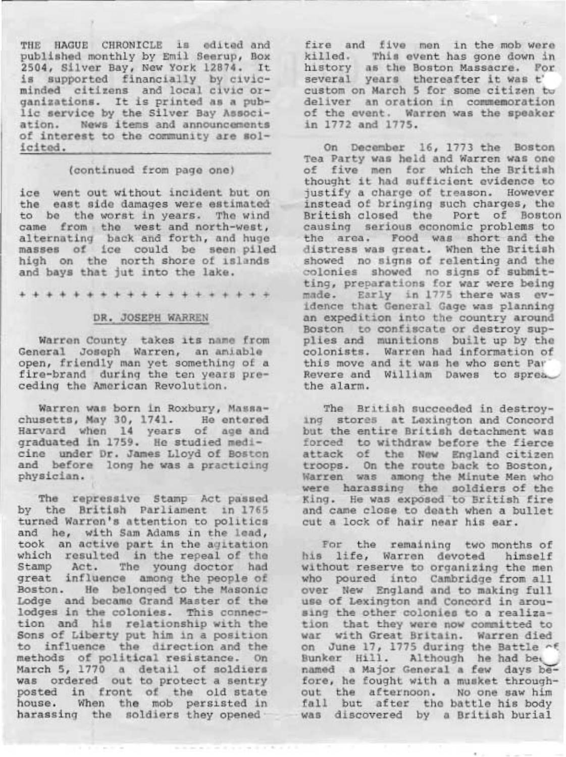THE HAGUE CHRONICLE is edited and published monthly by Emil- Seerup' Box 2504, Silver Bay, New York 12874. It is supported financially by civicminded citizens and local civic organizations. It is printed as a public service by the Silver Bay Association. News items and announcements of interest to the community are solicited.

# (continued from Page one)

ice went out without incident but on the east side damages were estimated to be the worst in years. The wind came from the west and north-west, alternating back and forth, and hugemasses of ice could be seen Piled high on the north shore of islands and bays that jut into the lake.

+++++++++++++++++++

#### DR. JOSEPH WARREN

Warren County takes its name from General Joseph Warren, an amiable open, friendly man yet something of a fire-brand during the ten years preceding the American Revolution.

Warren was born in Roxbury, Massachusetts, May 30, 1741. He entered Harvard when L4 years of age and graduated in L759. He studied medicine under Dr. James Lloyd of Boston and before long he was a practicing<br>physician.

The repressive Stamp Act passed<br>by the British Parliament in 1765<br>turned Warren's attention to politics and he, with Sam Adams in the lead,<br>took an active part in the agitation<br>which resulted in the repeal of the Stamp Act. The young doctor had great influence among the people of Boston. He belonged to the Masonic Lodge and became Grand Master of the lodges in the colonies. This connection and his relationship with the Sons of Liberty put him in a position<br>to influence the direction and the methods of political resistance. On March 5, L770 a detail of soldiers was ordered out to protect a sentry posted in front of the old state house. When the mob persisted in harassing the soldiers they opened

fire and five men in the mob were killed. This event has gone down in history as the Boston Massacre. For several years thereafter it was t' custom on March 5 for some citizen tw deliver an oration in commemoration of the event. Warren was the speaker in 1772 and 1775.

On December L6, L773 the Boston Tea Party was held and Warren was one of five men for which the British thought it had sufficient evidence to justify a charge of treason. However instead of bringing such charqes, the British closed the Port of Boston causing serious economic problems to the area; Food was short and the distress was great. When the British showed no signs of relenting and the colonies showed no signs of submitting, preparations for war were being made. Early in 1775 there was evidence that General Gage was planning an expedition into the country around Boston to confiscate or destroy sup-<br>plies and munitions built up by the colonists. Warren had information of this move and it was he who sent Par Revere and William Dawes to sprea.

The British succeeded in destroying stores at Lexington and Concord but the entire British detachment was forced to withdraw before the fierce attack of the New England citizen troops. On the route back to Boston, Warren was among the Minute Men who warren was amony the sinute men who were narassing the Boidiers of the<br>King. He was exposed to British fire and came close to death when a bul1et cut a lock of hair near his ear.

For the remaining two months of his life, Warren devoted himself without reserve to organizing the men without reserve to organizing the mer over New England and to making full use of Lexington and Concord in arousing the other colonies to a realization that they were now committed to war with Great Britain. Warren died on June 17, 1775 during the Battle of<br>Bunker Hill. Although he had bea named a Major General a few days before, he fought with a musket through- out the afternoon. No one saw him fall but after the battle his body<br>was discovered by a British burial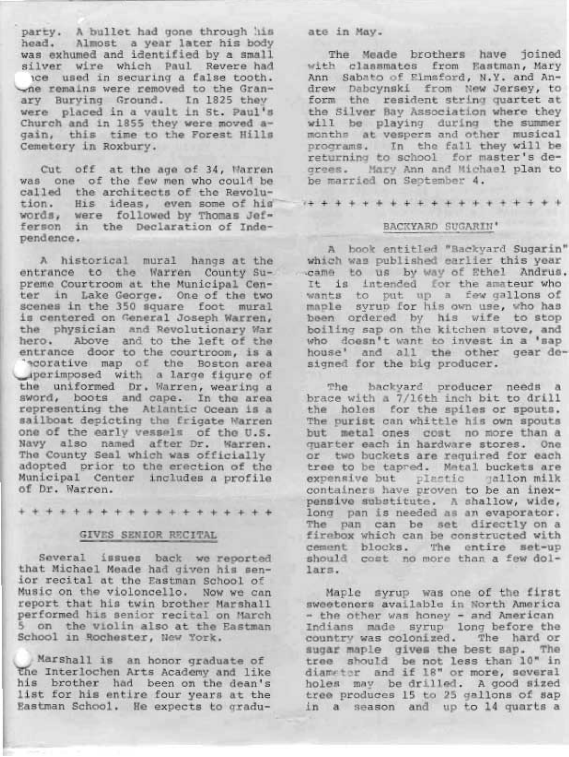party. A.bullet had gone through his head, Almost a year later his body was exhumed and identified by a small<br>silver wire which Paul Revere had<br>ice used in securing a false tooth.<br> $\sim$ ne remains were removed to the Granary Burying Ground. In 1825 they were placed in a vault in St. Paul's<br>Church and in 1855 they were moved a-<br>gain, this time to the Forest Hills Cemetery in Roxbury.

Cut off at the age of 34, Narren<br>was one of the few men who could be<br>called the architects of the Revolu-<br>tion. His ideas, even some of his<br>words, were followed by Thomas Jef-<br>ferson in the Declaration of Inde-<br>pendence.

A historical mural hangs at the entrance to the Warren County Supreme Courtroom at the Municipal Cen-<br>ter in Lake George. One of the two<br>scenes in the 350 square foot mural is centered on General Joseph Warren, the physician and Revolutionary War<br>hero. Above and to the left of the<br>entrance door to the courtroom, is a<br>'ecorative map of the Boston area uperimposed with a large figure of<br>the uniformed Dr. Warren, wearing a<br>sword, boots and cape. In the area<br>representing the Atlantic Ocean is a<br>sailboat depicting the frigate Narren<br>one of the early vessels of the U.S.<br>Navy

+++++++++++++++++++

## GIVES SENTOR RECITAL

Several issues back we reported<br>that Michael Meade had given his sen-<br>ior recital at the Eastman School of<br>Music on the violoncello. Now we can<br>report that his twin brother Marshall<br>performed his senior recital on March<br>5

Marshall is an honor graduate of<br>
The Interlochen Arts Academy and like<br>
his brother had been on the dean's<br>
list for his entire four years at the<br>
Eastman School. He expects to gradu-

t,

#### ate in May.

The Meade brothers have joined<br>with classmates from Eastman, Mary<br>Ann Sabato of Elmsford, N.Y. and An-<br>drew Dabcynski from New Jersey, to<br>form the resident string quartet at<br>the Silver Bay Association where they<br>will be pl programs. In the fall they will be returning to school for master's degrees. Mary Ann and Michael plan to be married on September 4.

/+++++++++++++++++++

#### BACKYARD SUGARIN'

A book entitled "Backyard Sugarin"<br>which was published earlier this year<br>came to us by way of Ethel Andrus.<br>It is intended for the amateur who<br>wants to put up a few gallons of<br>maple syrup for his own use, who has<br>been orde

The backyard producer needs a<br>brace with a 7/16th inch bit to drill<br>the holes for the spiles or spouts.<br>The purist can whittle his own spouts<br>but metal ones cost no more than a<br>quarter each in hardware stores. One<br>or two b tree to be tapped. Metal buckets are<br>expensive but plastic gallon milk<br>containers have proven to be an inex-<br>pensive substitute. A shallow, wide,<br>long pan is needed as an evaporator.<br>The pan can be set directly on a<br>firebo

Maple syrup was one of the first sweeteners available in North America<br>- the other was honey - and American<br>Indians made syrup long before the<br>country was colonized. The hard or sugar maple gives the best sap. The<br>tree should be not less than 10" in<br>diameter and if 18" or more, several<br>holes may be drilled. A good sized<br>tree produces 15 to 25 gallons of sap<br>in a season and up to 14 quarts a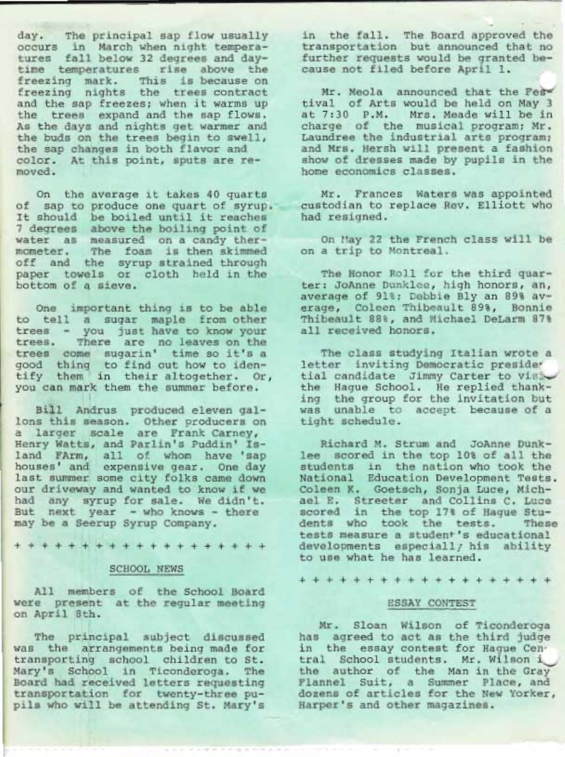day. The principal sap flow usually<br>occurs in March when night tempera-<br>tures fall below 32 degrees and day-<br>time temperatures rise above the<br>freezing mark. This is because on<br>freezing nights the trees contract<br>and the sap moved.

On the average it takes 40 quarts<br>of sap to produce one quart of syrup.<br>It should be boiled until it reaches<br>7 degrees above the boiling point of<br>water as measured on a candy ther-<br>mometer. The foam is then skimmed<br>off and

One important thing is to be able<br>to tell a sugar maple from other<br>trees - you just have to know your<br>trees. There are no leaves on the<br>trees come sugarin' time so it's a<br>good thing to find out how to iden-<br>tify them in th

Bill Andrus produced eleven gal-<br>lons this season. Other producers on a larger scale are Frank Carney, Henry Watts, and Parlin's Puddin' Is-<br>Henry Watts, and Parlin's Puddin' Is-<br>land FArm, all of whom have 'sap<br>houses' and expensive gear. One day<br>last summer some city folks came down last summer some city folks came down<br>our driveway and wanted to know if we<br>had any syrup for sale. We didn't.<br>But next year - who knows - there may be a Seerup Syrup Company.

+ + + + + +;.+ + + + + + + + + + + + +

# SCHOOL NEWS

All members of the School Board were present at the regular meeting<br>on April 8th.

The principal subject discussed was the arrangements being made for<br>transporting school children to St.<br>Mary's School in Ticonderoga. The<br>Board had received letters requesting<br>transportation for twenty-three pu-<br>pils who will be attending St. Mary's in the fall. The Board approved the<br>transportation but announced that no<br>further requests would be granted because not filed before April 1.

Mr. Meola announced that the Fest<br>tival of Arts would be held on May 3 at 7:30 P.M. Mrs. Meade will be in charge of the musical program; Mr. Laundree the industrial arts program; and Mrs. Hersh will present a fashion show of dresses made by pupils in the home economics classes.

Mr. Frances Waters was appointed<br>custodian to replace Rev. Elliott who<br>had resigned.

On May 22 the French class will be on a trip to Montreal.

The Honor Roll for the third quar-<br>ter: JoAnne Dunklee, high honors, an, average of 91%; Debbie Bly an 89% average, Coleen Thibeault 89%, Bonnie<br>Thibeault 88%, and Michael DeLarm 87%<br>all received honors.

The class studying Italian wrote a<br>letter inviting Democratic presider<br>tial candidate Jimmy Carter to visi-<br>the Hague School, He replied thank-<br>ing the group for the invitation but was unable to accept because of a<br>tight schedule.

Richard M. Strum and JoAnne Dunk-<br>lee scored in the top 10% of all the<br>students in the nation who took the<br>National Education Development Tests.<br>Coleen K. Goetsch, Sonja Luce, Mich-<br>ael E. Streeter and Collins C. Luce<br>scor

+++++++++++++++++++

#### ESSAY CONTEST

Mr. Sloan Wilson of Ticonderoga<br>has agreed to act as the third judge<br>in the essay contest for Hague Cen-<br>tral School students. Mr. Wilson i<br>the author of the Man in the Gray<br>Flannel Suit, a Summer Place, and<br>dozens of arti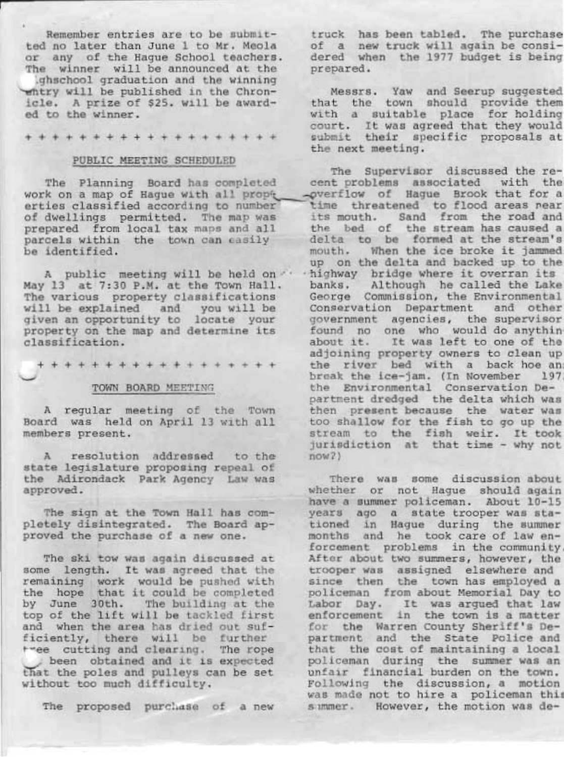Remember entries are to be submit-<br>ted no later than June 1 to Mr. Meola or any of the Hague School teachers.<br>The winner will be announced at the<br>\qhschool graduation and the winning

whtry will be published in the Chron-<br>icle. A prize of \$25. will be awarded to the winner.

+++++++++++++++++++

# PUBLIC MEETING SCHEDULED

A public meeting will be held on  $\cdot$ May 13 at 7:30 P.M. at the Town Hall.<br>The various property classifications will be explained and you will be given an opportunity to locate your property on the map and determine its classification.

+ + + + + + +,+ + + + + + + + + + +

#### TOWN BOARD MEETTNG

A regular meeting of the Town<br>Board was held on April 13 with all members present. Board was held on April 13 with all

A resolution addressed<br>state legislature proposing<br>the Adirondack Park Agency<br>approved. resolution addressed to the state legislature proposing repeal of Law was

The sign at the Town Hall<br>pletely disintegrated. The<br>proved the purchase of a new The sign at the Town Hall has com-Board approved the purchase of a new one.

The ski tow was again discussed at some length. It was agreed that the remaining work would be pushed with<br>the hope that it could be completed<br>by June 30th. The building at the<br>top of the lift will be tackled first<br>and when the area has dried out suf-<br>ficiently, there will be further<br>tree cut been obtained and it is expected<br>that the poles and pulleys can be set<br>without too much difficulty.

The proposed purcliase of a new

truck has been tabled. The purchase of a new truck will again be consi- dered when the 1977 budget is being prepared.

Messrs. Yaw and Seerup suggested<br>that the town should provide them<br>with a suitable place for holding<br>court. It was agreed that they would<br>submit their specific proposals at<br>the next meeting.

The Planning Board has completed cent problems associated with the<br>work on a map of Hague with all propic specified of Hague Brook that for a<br>erties classified according to number time threatened to flood areas near<br>of dwe The Supervisor discussed the recent problems associated with the<br>-overflow of Hague Brook that for a its mouth. Sand from the road and<br>the bed of the stream has caused a delta to be formed at the stream's<br>mouth. When the ice broke it jammed<br>up on the delta and backed up to the highway bridge where it overran its<br>banks. Although he called the Lake<br>George Commission, the Environmental<br>Conservation Department and other<br>government agencies, the supervisor<br>found no one who would do anythin<br>about it. then present because the water was too shallow for the fish to go up the<br>stream to the fish weir. It took<br>jurisdiction at that time - why not now? )

> There was some discussion about<br>whether or not Hague should again<br>have a summer policeman. About 10-15<br>years ago a state trooper was stationed in Hague during the summer<br>months and he took care of law en-<br>forcement problems in the community<br>After about two summers, however, the<br>trooper was assigned elsewhere and<br>since then the town has employed a<br>policeman was made not to hire a policeman this<br>simmer. However, the motion was de-